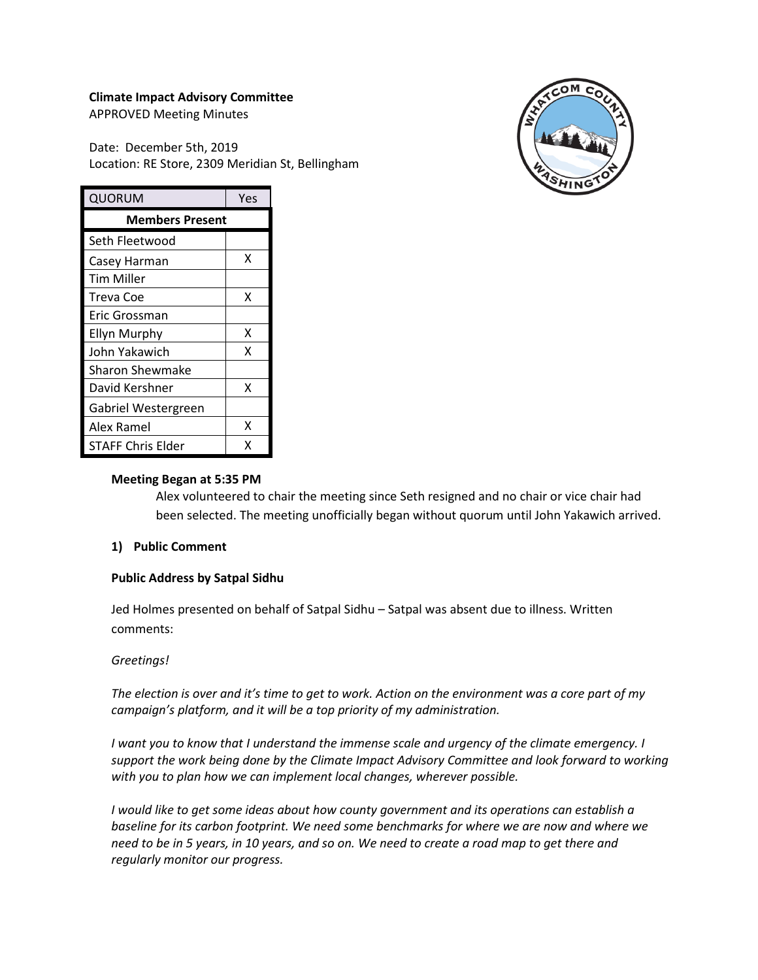# **Climate Impact Advisory Committee**

APPROVED Meeting Minutes

Date: December 5th, 2019 Location: RE Store, 2309 Meridian St, Bellingham



| QUORUM                   | Yes |
|--------------------------|-----|
| <b>Members Present</b>   |     |
| Seth Fleetwood           |     |
| Casey Harman             | x   |
| Tim Miller               |     |
| <b>Treva Coe</b>         | x   |
| Eric Grossman            |     |
| <b>Ellyn Murphy</b>      | x   |
| John Yakawich            | x   |
| Sharon Shewmake          |     |
| David Kershner           | x   |
| Gabriel Westergreen      |     |
| Alex Ramel               | x   |
| <b>STAFF Chris Elder</b> | x   |

### **Meeting Began at 5:35 PM**

Alex volunteered to chair the meeting since Seth resigned and no chair or vice chair had been selected. The meeting unofficially began without quorum until John Yakawich arrived.

## **1) Public Comment**

## **Public Address by Satpal Sidhu**

Jed Holmes presented on behalf of Satpal Sidhu – Satpal was absent due to illness. Written comments:

#### *Greetings!*

*The election is over and it's time to get to work. Action on the environment was a core part of my campaign's platform, and it will be a top priority of my administration.*

*I want you to know that I understand the immense scale and urgency of the climate emergency. I support the work being done by the Climate Impact Advisory Committee and look forward to working with you to plan how we can implement local changes, wherever possible.*

*I would like to get some ideas about how county government and its operations can establish a baseline for its carbon footprint. We need some benchmarks for where we are now and where we need to be in 5 years, in 10 years, and so on. We need to create a road map to get there and regularly monitor our progress.*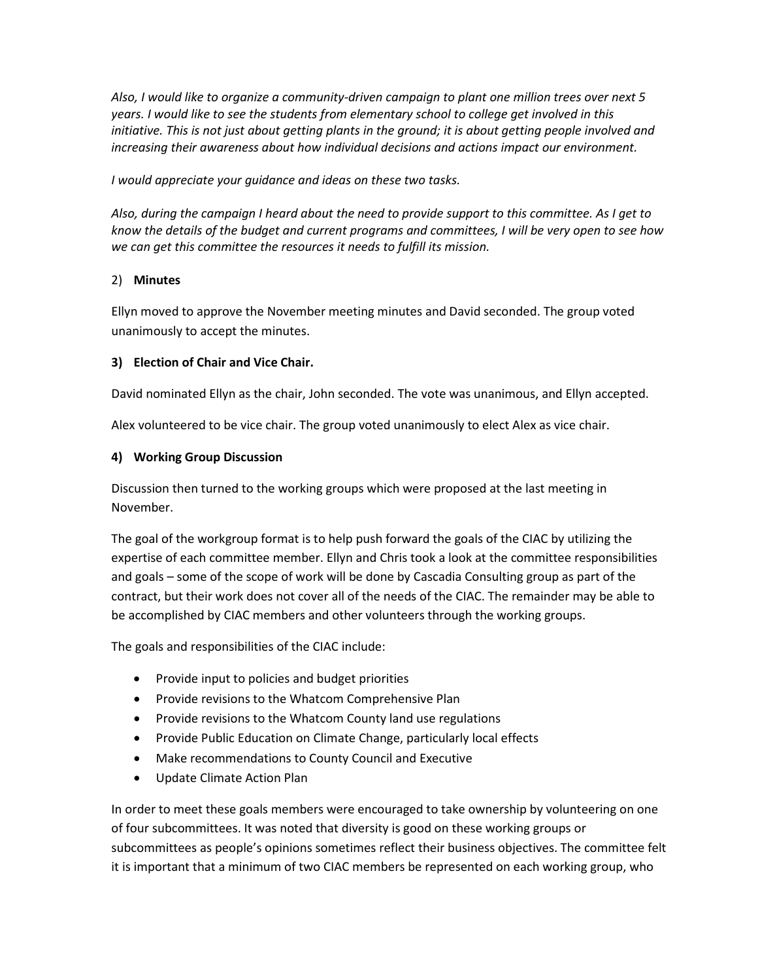*Also, I would like to organize a community-driven campaign to plant one million trees over next 5 years. I would like to see the students from elementary school to college get involved in this*  initiative. This is not just about getting plants in the ground; it is about getting people involved and *increasing their awareness about how individual decisions and actions impact our environment.* 

*I would appreciate your guidance and ideas on these two tasks.*

*Also, during the campaign I heard about the need to provide support to this committee. As I get to know the details of the budget and current programs and committees, I will be very open to see how we can get this committee the resources it needs to fulfill its mission.*

# 2) **Minutes**

Ellyn moved to approve the November meeting minutes and David seconded. The group voted unanimously to accept the minutes.

# **3) Election of Chair and Vice Chair.**

David nominated Ellyn as the chair, John seconded. The vote was unanimous, and Ellyn accepted.

Alex volunteered to be vice chair. The group voted unanimously to elect Alex as vice chair.

## **4) Working Group Discussion**

Discussion then turned to the working groups which were proposed at the last meeting in November.

The goal of the workgroup format is to help push forward the goals of the CIAC by utilizing the expertise of each committee member. Ellyn and Chris took a look at the committee responsibilities and goals – some of the scope of work will be done by Cascadia Consulting group as part of the contract, but their work does not cover all of the needs of the CIAC. The remainder may be able to be accomplished by CIAC members and other volunteers through the working groups.

The goals and responsibilities of the CIAC include:

- Provide input to policies and budget priorities
- Provide revisions to the Whatcom Comprehensive Plan
- Provide revisions to the Whatcom County land use regulations
- Provide Public Education on Climate Change, particularly local effects
- Make recommendations to County Council and Executive
- Update Climate Action Plan

In order to meet these goals members were encouraged to take ownership by volunteering on one of four subcommittees. It was noted that diversity is good on these working groups or subcommittees as people's opinions sometimes reflect their business objectives. The committee felt it is important that a minimum of two CIAC members be represented on each working group, who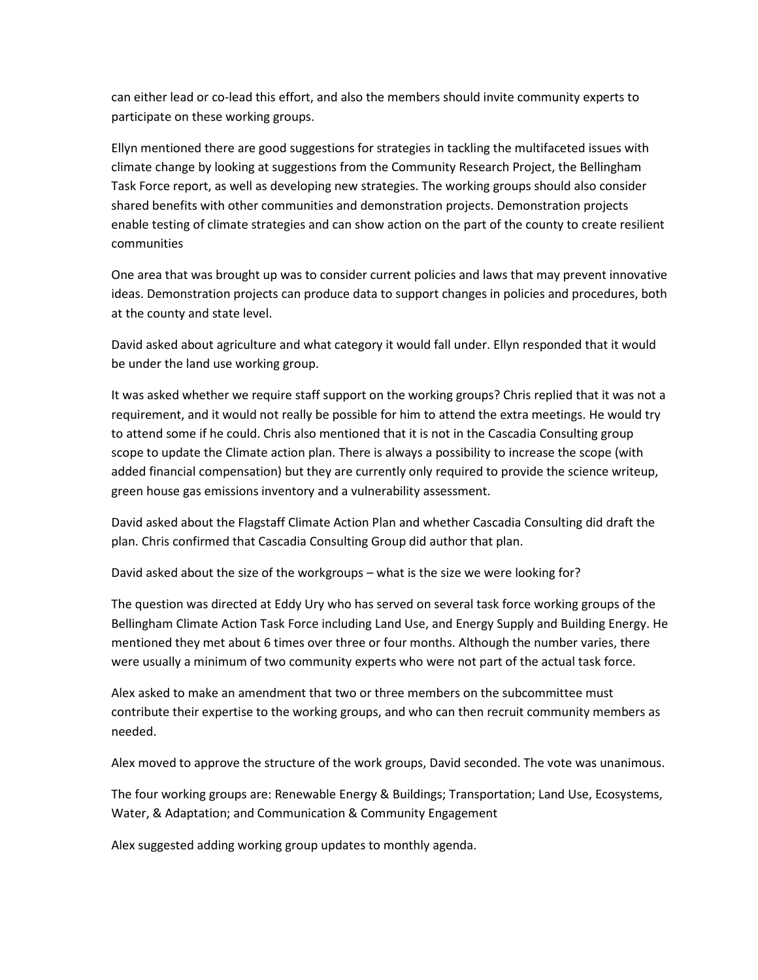can either lead or co-lead this effort, and also the members should invite community experts to participate on these working groups.

Ellyn mentioned there are good suggestions for strategies in tackling the multifaceted issues with climate change by looking at suggestions from the Community Research Project, the Bellingham Task Force report, as well as developing new strategies. The working groups should also consider shared benefits with other communities and demonstration projects. Demonstration projects enable testing of climate strategies and can show action on the part of the county to create resilient communities

One area that was brought up was to consider current policies and laws that may prevent innovative ideas. Demonstration projects can produce data to support changes in policies and procedures, both at the county and state level.

David asked about agriculture and what category it would fall under. Ellyn responded that it would be under the land use working group.

It was asked whether we require staff support on the working groups? Chris replied that it was not a requirement, and it would not really be possible for him to attend the extra meetings. He would try to attend some if he could. Chris also mentioned that it is not in the Cascadia Consulting group scope to update the Climate action plan. There is always a possibility to increase the scope (with added financial compensation) but they are currently only required to provide the science writeup, green house gas emissions inventory and a vulnerability assessment.

David asked about the Flagstaff Climate Action Plan and whether Cascadia Consulting did draft the plan. Chris confirmed that Cascadia Consulting Group did author that plan.

David asked about the size of the workgroups – what is the size we were looking for?

The question was directed at Eddy Ury who has served on several task force working groups of the Bellingham Climate Action Task Force including Land Use, and Energy Supply and Building Energy. He mentioned they met about 6 times over three or four months. Although the number varies, there were usually a minimum of two community experts who were not part of the actual task force.

Alex asked to make an amendment that two or three members on the subcommittee must contribute their expertise to the working groups, and who can then recruit community members as needed.

Alex moved to approve the structure of the work groups, David seconded. The vote was unanimous.

The four working groups are: Renewable Energy & Buildings; Transportation; Land Use, Ecosystems, Water, & Adaptation; and Communication & Community Engagement

Alex suggested adding working group updates to monthly agenda.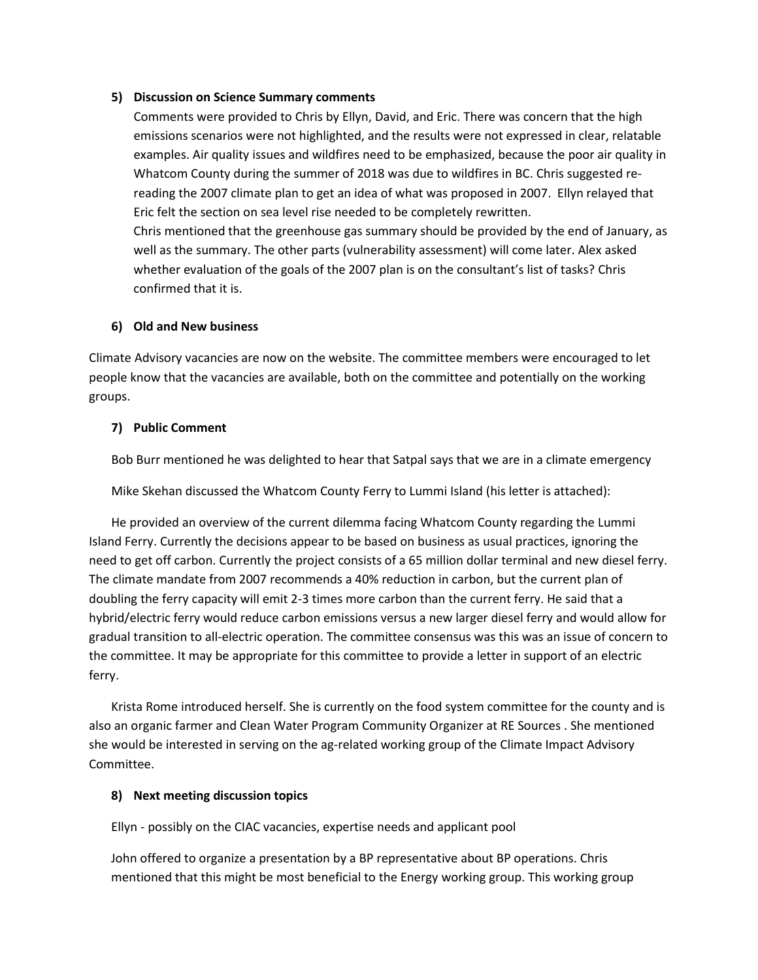## **5) Discussion on Science Summary comments**

Comments were provided to Chris by Ellyn, David, and Eric. There was concern that the high emissions scenarios were not highlighted, and the results were not expressed in clear, relatable examples. Air quality issues and wildfires need to be emphasized, because the poor air quality in Whatcom County during the summer of 2018 was due to wildfires in BC. Chris suggested rereading the 2007 climate plan to get an idea of what was proposed in 2007. Ellyn relayed that Eric felt the section on sea level rise needed to be completely rewritten. Chris mentioned that the greenhouse gas summary should be provided by the end of January, as well as the summary. The other parts (vulnerability assessment) will come later. Alex asked whether evaluation of the goals of the 2007 plan is on the consultant's list of tasks? Chris confirmed that it is.

### **6) Old and New business**

Climate Advisory vacancies are now on the website. The committee members were encouraged to let people know that the vacancies are available, both on the committee and potentially on the working groups.

### **7) Public Comment**

Bob Burr mentioned he was delighted to hear that Satpal says that we are in a climate emergency

Mike Skehan discussed the Whatcom County Ferry to Lummi Island (his letter is attached):

He provided an overview of the current dilemma facing Whatcom County regarding the Lummi Island Ferry. Currently the decisions appear to be based on business as usual practices, ignoring the need to get off carbon. Currently the project consists of a 65 million dollar terminal and new diesel ferry. The climate mandate from 2007 recommends a 40% reduction in carbon, but the current plan of doubling the ferry capacity will emit 2-3 times more carbon than the current ferry. He said that a hybrid/electric ferry would reduce carbon emissions versus a new larger diesel ferry and would allow for gradual transition to all-electric operation. The committee consensus was this was an issue of concern to the committee. It may be appropriate for this committee to provide a letter in support of an electric ferry.

Krista Rome introduced herself. She is currently on the food system committee for the county and is also an organic farmer and Clean Water Program Community Organizer at RE Sources . She mentioned she would be interested in serving on the ag-related working group of the Climate Impact Advisory Committee.

#### **8) Next meeting discussion topics**

Ellyn - possibly on the CIAC vacancies, expertise needs and applicant pool

John offered to organize a presentation by a BP representative about BP operations. Chris mentioned that this might be most beneficial to the Energy working group. This working group